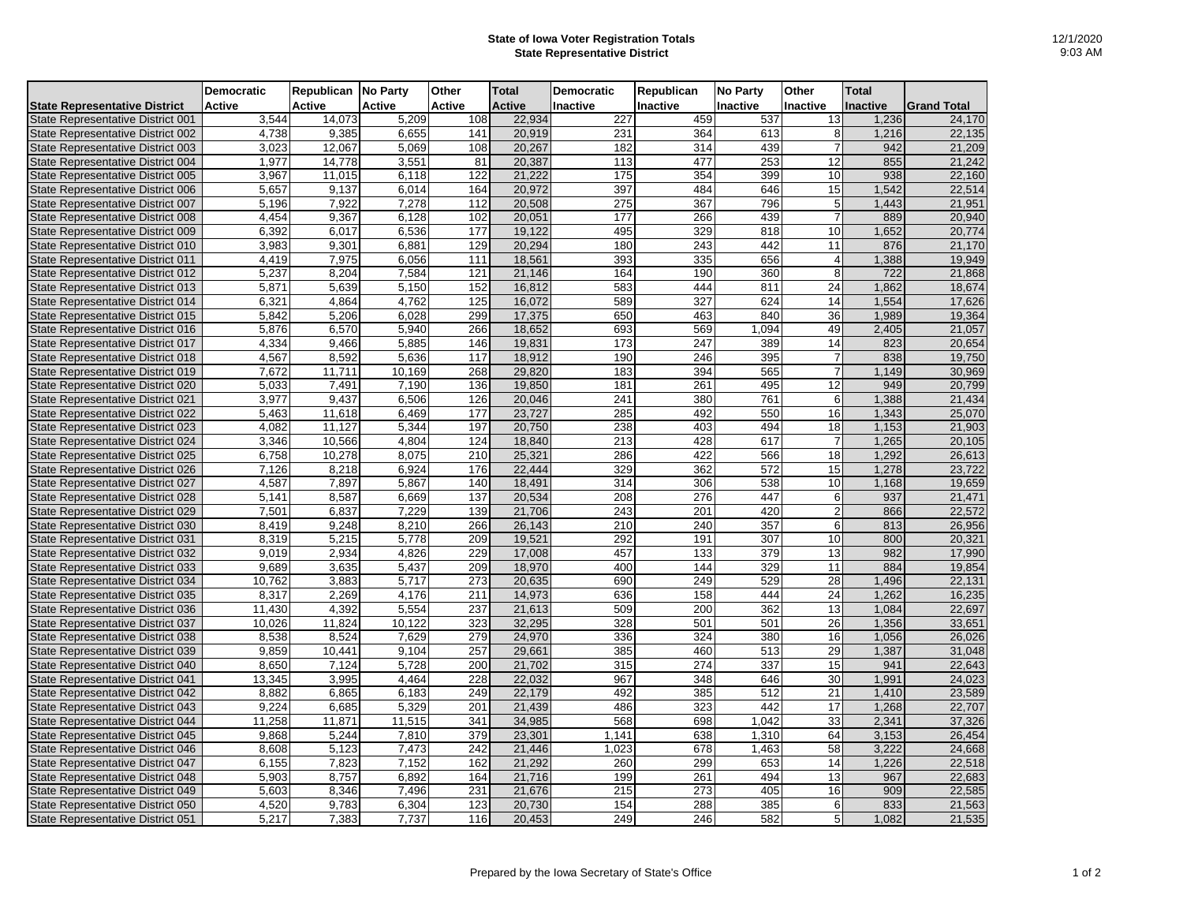## **State of Iowa Voter Registration Totals State Representative District**

|                                          | <b>Democratic</b> | Republican | <b>No Party</b> | Other            | <b>Total</b>  | <b>Democratic</b> | Republican | <b>No Party</b> | Other           | <b>Total</b>    |                    |
|------------------------------------------|-------------------|------------|-----------------|------------------|---------------|-------------------|------------|-----------------|-----------------|-----------------|--------------------|
| <b>State Representative District</b>     | Active            | Active     | <b>Active</b>   | Active           | <b>Active</b> | Inactive          | Inactive   | <b>Inactive</b> | Inactive        | <b>Inactive</b> | <b>Grand Total</b> |
| State Representative District 001        | 3,544             | 14,073     | 5,209           | 108              | 22,934        | 227               | 459        | 537             | 13              | 1,236           | 24,170             |
| State Representative District 002        | 4,738             | 9,385      | 6,655           | 141              | 20,919        | 231               | 364        | 613             | 8               | 1,216           | 22,135             |
| State Representative District 003        | 3,023             | 12,067     | 5,069           | 108              | 20,267        | 182               | 314        | 439             | $\overline{7}$  | 942             | 21,209             |
| State Representative District 004        | 1,977             | 14,778     | 3,551           | 81               | 20,387        | 113               | 477        | 253             | 12              | 855             | 21,242             |
| State Representative District 005        | 3,967             | 11,015     | 6,118           | 122              | 21,222        | 175               | 354        | 399             | 10              | 938             | 22,160             |
| State Representative District 006        | 5,657             | 9,137      | 6,014           | 164              | 20,972        | 397               | 484        | 646             | 15              | 1,542           | 22,514             |
| State Representative District 007        | 5,196             | 7,922      | 7,278           | 112              | 20,508        | 275               | 367        | 796             | $\,$ 5 $\,$     | 1.443           | 21,951             |
| State Representative District 008        | 4,454             | 9,367      | 6,128           | 102              | 20,051        | 177               | 266        | 439             | $\overline{7}$  | 889             | 20,940             |
| State Representative District 009        | 6,392             | 6,017      | 6,536           | 177              | 19,122        | 495               | 329        | 818             | 10              | 1,652           | 20,774             |
| State Representative District 010        | 3,983             | 9,301      | 6,881           | 129              | 20,294        | 180               | 243        | 442             | 11              | 876             | 21,170             |
| State Representative District 011        | 4,419             | 7,975      | 6,056           | 111              | 18,561        | 393               | 335        | 656             | $\overline{4}$  | 1,388           | 19,949             |
| State Representative District 012        | 5,237             | 8,204      | 7,584           | 121              | 21,146        | 164               | 190        | 360             | 8               | 722             | 21,868             |
| State Representative District 013        | 5,871             | 5.639      | 5.150           | 152              | 16,812        | 583               | 444        | 811             | $\overline{24}$ | 1.862           | 18,674             |
| State Representative District 014        | 6,321             | 4,864      | 4,762           | 125              | 16,072        | 589               | 327        | 624             | 14              | 1,554           | 17,626             |
| State Representative District 015        | 5,842             | 5,206      | 6,028           | 299              | 17,375        | 650               | 463        | 840             | 36              | 1,989           | 19,364             |
| State Representative District 016        | 5,876             | 6.570      | 5,940           | 266              | 18,652        | 693               | 569        | 1,094           | 49              | 2,405           | 21.057             |
| State Representative District 017        | 4,334             | 9,466      | 5,885           | 146              | 19,831        | 173               | 247        | 389             | 14              | 823             | 20,654             |
| State Representative District 018        | 4,567             | 8,592      | 5,636           | 117              | 18,912        | 190               | 246        | 395             | $\overline{7}$  | 838             | 19,750             |
| State Representative District 019        | 7,672             | 11,711     | 10,169          | 268              | 29,820        | 183               | 394        | 565             | $\overline{7}$  | 1,149           | 30,969             |
| State Representative District 020        | 5,033             | 7,491      | 7,190           | 136              | 19,850        | 181               | 261        | 495             | $\overline{12}$ | 949             | 20,799             |
| State Representative District 021        | 3,977             | 9,437      | 6,506           | 126              | 20,046        | 241               | 380        | 761             | 6               | 1,388           | 21,434             |
| State Representative District 022        | 5,463             | 11,618     | 6,469           | $\overline{177}$ | 23,727        | 285               | 492        | 550             | 16              | 1,343           | 25,070             |
| <b>State Representative District 023</b> | 4,082             | 11,127     | 5,344           | 197              | 20,750        | 238               | 403        | 494             | 18              | 1,153           | 21,903             |
| State Representative District 024        | 3,346             | 10,566     | 4,804           | 124              | 18,840        | 213               | 428        | 617             | $\overline{7}$  | 1,265           | 20,105             |
| State Representative District 025        | 6,758             | 10,278     | 8,075           | 210              | 25,321        | 286               | 422        | 566             | 18              | 1,292           | 26,613             |
| State Representative District 026        | 7,126             | 8,218      | 6,924           | 176              | 22,444        | 329               | 362        | 572             | 15              | 1,278           | 23,722             |
| State Representative District 027        | 4,587             | 7,897      | 5,867           | 140              | 18,491        | 314               | 306        | 538             | 10              | 1,168           | 19,659             |
| State Representative District 028        | 5,141             | 8.587      | 6,669           | 137              | 20,534        | 208               | 276        | 447             | 6               | 937             | 21,471             |
| State Representative District 029        | 7,501             | 6,837      | 7,229           | 139              | 21,706        | 243               | 201        | 420             | $\overline{2}$  | 866             | 22,572             |
| State Representative District 030        | 8,419             | 9,248      | 8,210           | 266              | 26,143        | 210               | 240        | 357             | 6               | 813             | 26,956             |
| State Representative District 031        | 8,319             | 5,215      | 5,778           | 209              | 19.521        | 292               | 191        | 307             | 10              | 800             | 20.321             |
| State Representative District 032        | 9,019             | 2,934      | 4,826           | 229              | 17,008        | 457               | 133        | 379             | 13              | 982             | 17,990             |
| State Representative District 033        | 9,689             | 3,635      | 5,437           | 209              | 18,970        | 400               | 144        | 329             | 11              | 884             | 19,854             |
| State Representative District 034        | 10.762            | 3,883      | 5,717           | 273              | 20,635        | 690               | 249        | 529             | 28              | 1,496           | 22,131             |
| State Representative District 035        | 8,317             | 2,269      | 4,176           | 211              | 14,973        | 636               | 158        | 444             | 24              | 1,262           | 16,235             |
| State Representative District 036        | 11,430            | 4,392      | 5,554           | 237              | 21,613        | 509               | 200        | 362             | 13              | 1,084           | 22,697             |
| State Representative District 037        | 10,026            | 11,824     | 10,122          | 323              | 32,295        | 328               | 501        | 501             | 26              | 1,356           | 33,651             |
| State Representative District 038        | 8,538             | 8,524      | 7,629           | 279              | 24,970        | 336               | 324        | 380             | 16              | 1,056           | 26,026             |
| State Representative District 039        | 9,859             | 10,441     | 9,104           | 257              | 29,661        | 385               | 460        | 513             | 29              | 1,387           | 31,048             |
| State Representative District 040        | 8,650             | 7,124      | 5,728           | 200              | 21,702        | 315               | 274        | 337             | 15              | 941             | 22,643             |
| State Representative District 041        | 13,345            | 3,995      | 4.464           | $\overline{228}$ | 22,032        | 967               | 348        | 646             | 30              | 1,991           | 24,023             |
| State Representative District 042        | 8,882             | 6,865      | 6,183           | 249              | 22,179        | 492               | 385        | 512             | 21              | 1,410           | 23,589             |
| State Representative District 043        | 9,224             | 6,685      | 5,329           | 201              | 21,439        | 486               | 323        | 442             | 17              | 1,268           | 22,707             |
| State Representative District 044        | 11,258            | 11,871     | 11,515          | 341              | 34,985        | 568               | 698        | 1,042           | 33              | 2,341           | 37,326             |
| State Representative District 045        | 9,868             | 5,244      | 7,810           | 379              | 23,301        | 1,141             | 638        | 1,310           | 64              | 3,153           | 26,454             |
| State Representative District 046        | 8,608             | 5,123      | 7,473           | 242              | 21,446        | 1,023             | 678        | 1,463           | 58              | 3,222           | 24,668             |
| State Representative District 047        | 6,155             | 7,823      | 7,152           | 162              | 21,292        | 260               | 299        | 653             | 14              | 1,226           | 22,518             |
| State Representative District 048        | 5,903             | 8,757      | 6,892           | 164              | 21,716        | 199               | 261        | 494             | 13              | 967             | 22,683             |
| State Representative District 049        | 5,603             | 8,346      | 7,496           | 231              | 21,676        | 215               | 273        | 405             | 16              | 909             | 22,585             |
| State Representative District 050        | 4,520             | 9,783      | 6,304           | 123              | 20,730        | 154               | 288        | 385             | 6               | 833             | 21,563             |
| State Representative District 051        | 5,217             | 7,383      | 7,737           | 116              | 20,453        | 249               | 246        | 582             | 5               | 1,082           | 21,535             |